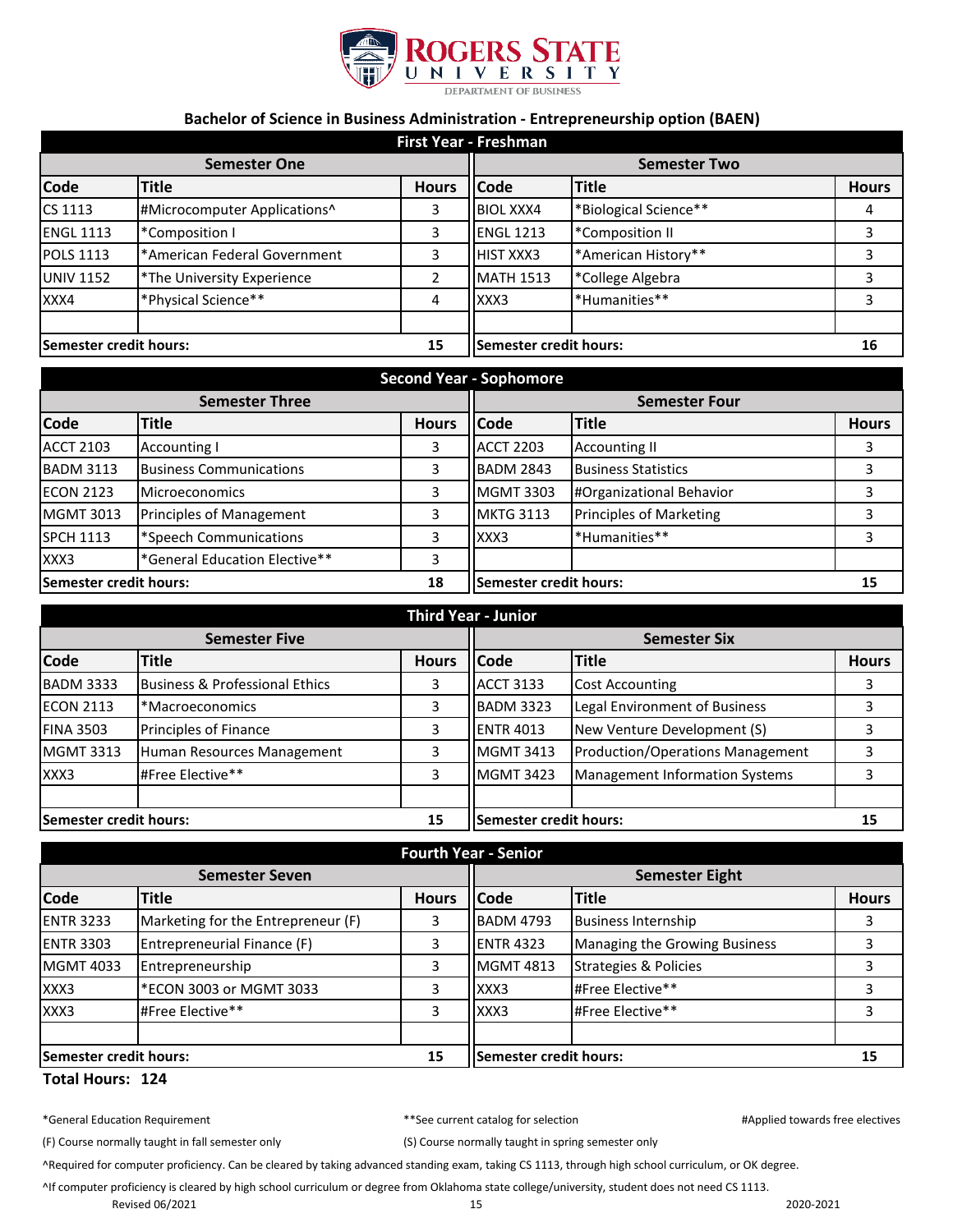

## **Bachelor of Science in Business Administration - Entrepreneurship option (BAEN)**

| First Year - Freshman        |                              |                        |                     |                       |              |
|------------------------------|------------------------------|------------------------|---------------------|-----------------------|--------------|
| <b>Semester One</b>          |                              |                        | <b>Semester Two</b> |                       |              |
| <b>Code</b>                  | <b>Title</b>                 | <b>Hours</b>           | <b>Code</b>         | <b>Title</b>          | <b>Hours</b> |
| CS 1113                      | #Microcomputer Applications^ | 3                      | <b>BIOL XXX4</b>    | *Biological Science** | 4            |
| <b>ENGL 1113</b>             | *Composition I               | 3                      | <b>ENGL 1213</b>    | *Composition II       | 3            |
| <b>POLS 1113</b>             | *American Federal Government | 3                      | <b>HIST XXX3</b>    | *American History**   | 3            |
| <b>UNIV 1152</b>             | *The University Experience   | 2                      | <b>MATH 1513</b>    | *College Algebra      | 3            |
| XXX4                         | *Physical Science**          | 4                      | XXX3                | *Humanities**         | 3            |
| Semester credit hours:<br>15 |                              | Semester credit hours: |                     | 16                    |              |

| <b>Second Year - Sophomore</b> |                                |                               |                      |                                |              |
|--------------------------------|--------------------------------|-------------------------------|----------------------|--------------------------------|--------------|
| <b>Semester Three</b>          |                                |                               | <b>Semester Four</b> |                                |              |
| <b>Code</b>                    | Title                          | <b>Hours</b>                  | <b>Code</b>          | <b>Title</b>                   | <b>Hours</b> |
| <b>ACCT 2103</b>               | <b>Accounting I</b>            | 3                             | <b>ACCT 2203</b>     | <b>Accounting II</b>           |              |
| <b>BADM 3113</b>               | <b>Business Communications</b> | 3                             | <b>BADM 2843</b>     | <b>Business Statistics</b>     |              |
| <b>ECON 2123</b>               | <b>Microeconomics</b>          |                               | <b>MGMT 3303</b>     | #Organizational Behavior       |              |
| <b>MGMT 3013</b>               | Principles of Management       | 3                             | <b>MKTG 3113</b>     | <b>Principles of Marketing</b> |              |
| <b>SPCH 1113</b>               | *Speech Communications         | 3                             | XXX3                 | *Humanities**                  |              |
| XXX3                           | *General Education Elective**  |                               |                      |                                |              |
| 18<br>Semester credit hours:   |                                | <b>Semester credit hours:</b> |                      | 15                             |              |

| <b>Third Year - Junior</b>   |                                           |                        |                     |                                         |              |
|------------------------------|-------------------------------------------|------------------------|---------------------|-----------------------------------------|--------------|
| <b>Semester Five</b>         |                                           |                        | <b>Semester Six</b> |                                         |              |
| <b>Code</b>                  | <b>Title</b>                              | <b>Hours</b>           | <b>Code</b>         | <b>Title</b>                            | <b>Hours</b> |
| <b>BADM 3333</b>             | <b>Business &amp; Professional Ethics</b> | 3                      | <b>ACCT 3133</b>    | <b>Cost Accounting</b>                  |              |
| <b>ECON 2113</b>             | *Macroeconomics                           | 3                      | <b>BADM 3323</b>    | Legal Environment of Business           |              |
| <b>FINA 3503</b>             | Principles of Finance                     | 3                      | <b>ENTR 4013</b>    | New Venture Development (S)             |              |
| <b>MGMT 3313</b>             | Human Resources Management                | 3                      | <b>MGMT 3413</b>    | <b>Production/Operations Management</b> |              |
| XXX3                         | #Free Elective**                          | 3                      | <b>MGMT 3423</b>    | <b>Management Information Systems</b>   | 3            |
|                              |                                           |                        |                     |                                         |              |
| Semester credit hours:<br>15 |                                           | Semester credit hours: |                     | 15                                      |              |

| <b>Fourth Year - Senior</b>         |                                    |                               |                       |                                  |              |
|-------------------------------------|------------------------------------|-------------------------------|-----------------------|----------------------------------|--------------|
| <b>Semester Seven</b>               |                                    |                               | <b>Semester Eight</b> |                                  |              |
| <b>Code</b>                         | <b>Title</b>                       | <b>Hours</b>                  | <b>Code</b>           | <b>Title</b>                     | <b>Hours</b> |
| <b>ENTR 3233</b>                    | Marketing for the Entrepreneur (F) | 3                             | <b>BADM 4793</b>      | <b>Business Internship</b>       |              |
| <b>ENTR 3303</b>                    | Entrepreneurial Finance (F)        | 3                             | <b>ENTR 4323</b>      | Managing the Growing Business    |              |
| <b>MGMT 4033</b>                    | Entrepreneurship                   | 3                             | <b>MGMT 4813</b>      | <b>Strategies &amp; Policies</b> |              |
| XXX3                                | *ECON 3003 or MGMT 3033            | 3                             | XXX3                  | #Free Elective**                 |              |
| XXX3                                | #Free Elective**                   | 3                             | XXX3                  | #Free Elective**                 |              |
|                                     |                                    |                               |                       |                                  |              |
| <b>Semester credit hours:</b><br>15 |                                    | <b>Semester credit hours:</b> |                       | 15                               |              |

## **Total Hours: 124**

\*General Education Requirement \*\*See current catalog for selection #Applied towards free electives

(F) Course normally taught in fall semester only (S) Course normally taught in spring semester only

^Required for computer proficiency. Can be cleared by taking advanced standing exam, taking CS 1113, through high school curriculum, or OK degree.

^If computer proficiency is cleared by high school curriculum or degree from Oklahoma state college/university, student does not need CS 1113.

Revised 06/2021 2020-2021 2020-2021 15